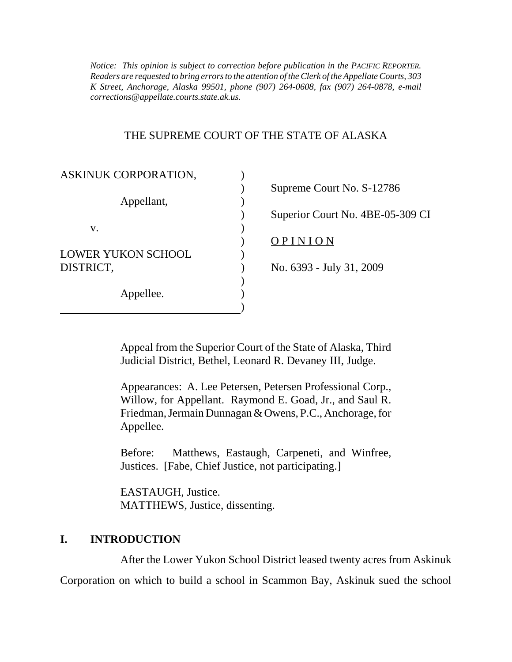*K Street, Anchorage, Alaska 99501, phone (907) 264-0608, fax (907) 264-0878, e-mail Notice: This opinion is subject to correction before publication in the PACIFIC REPORTER. Readers are requested to bring errors to the attention of the Clerk of the Appellate Courts, 303 corrections@appellate.courts.state.ak.us.* 

### THE SUPREME COURT OF THE STATE OF ALASKA

| ASKINUK CORPORATION,      |                                  |
|---------------------------|----------------------------------|
| Appellant,                | Supreme Court No. S-12786        |
|                           |                                  |
|                           | Superior Court No. 4BE-05-309 CI |
| V.                        |                                  |
|                           | PINION                           |
| <b>LOWER YUKON SCHOOL</b> |                                  |
| DISTRICT,                 | No. 6393 - July 31, 2009         |
| Appellee.                 |                                  |
|                           |                                  |
|                           |                                  |

Appeal from the Superior Court of the State of Alaska, Third Judicial District, Bethel, Leonard R. Devaney III, Judge.

Appearances: A. Lee Petersen, Petersen Professional Corp., Willow, for Appellant. Raymond E. Goad, Jr., and Saul R. Friedman, Jermain Dunnagan & Owens, P.C., Anchorage, for Appellee.

 Justices. [Fabe, Chief Justice, not participating.] EASTAUGH, Justice. Before: Matthews, Eastaugh, Carpeneti, and Winfree,

MATTHEWS, Justice, dissenting.

## **I. INTRODUCTION**

After the Lower Yukon School District leased twenty acres from Askinuk Corporation on which to build a school in Scammon Bay, Askinuk sued the school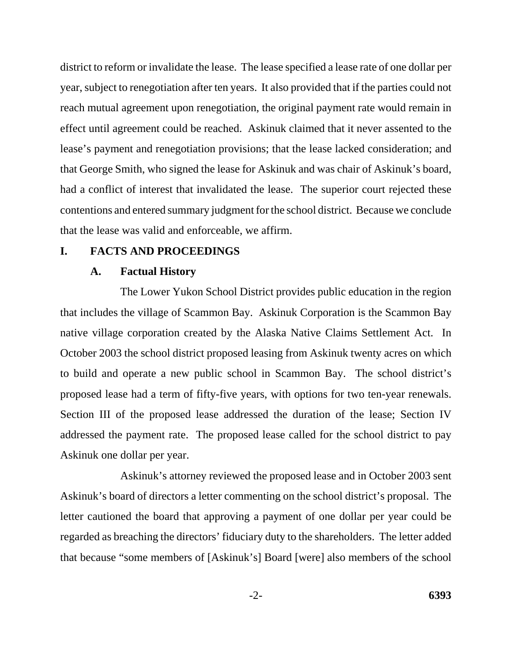district to reform or invalidate the lease. The lease specified a lease rate of one dollar per year, subject to renegotiation after ten years. It also provided that if the parties could not reach mutual agreement upon renegotiation, the original payment rate would remain in effect until agreement could be reached. Askinuk claimed that it never assented to the lease's payment and renegotiation provisions; that the lease lacked consideration; and that George Smith, who signed the lease for Askinuk and was chair of Askinuk's board, had a conflict of interest that invalidated the lease. The superior court rejected these contentions and entered summary judgment for the school district. Because we conclude that the lease was valid and enforceable, we affirm.

### **I. FACTS AND PROCEEDINGS**

#### **A. Factual History**

The Lower Yukon School District provides public education in the region that includes the village of Scammon Bay. Askinuk Corporation is the Scammon Bay native village corporation created by the Alaska Native Claims Settlement Act. In October 2003 the school district proposed leasing from Askinuk twenty acres on which to build and operate a new public school in Scammon Bay. The school district's proposed lease had a term of fifty-five years, with options for two ten-year renewals. Section III of the proposed lease addressed the duration of the lease; Section IV addressed the payment rate. The proposed lease called for the school district to pay Askinuk one dollar per year.

Askinuk's attorney reviewed the proposed lease and in October 2003 sent Askinuk's board of directors a letter commenting on the school district's proposal. The letter cautioned the board that approving a payment of one dollar per year could be regarded as breaching the directors' fiduciary duty to the shareholders. The letter added that because "some members of [Askinuk's] Board [were] also members of the school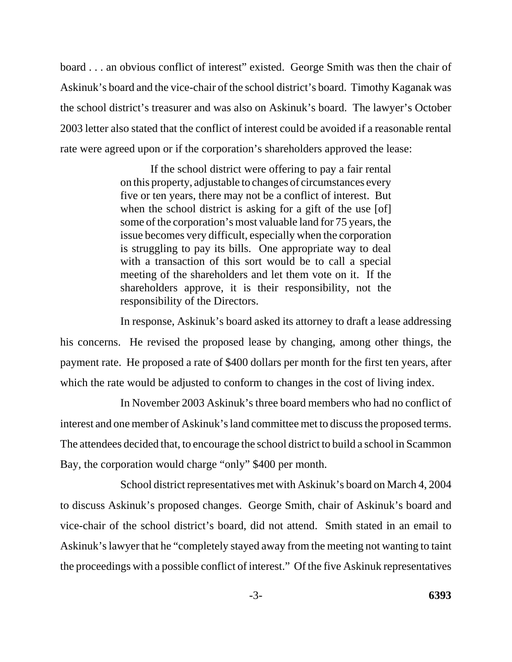board . . . an obvious conflict of interest" existed. George Smith was then the chair of Askinuk's board and the vice-chair of the school district's board. Timothy Kaganak was the school district's treasurer and was also on Askinuk's board. The lawyer's October 2003 letter also stated that the conflict of interest could be avoided if a reasonable rental rate were agreed upon or if the corporation's shareholders approved the lease:

> If the school district were offering to pay a fair rental on this property, adjustable to changes of circumstances every five or ten years, there may not be a conflict of interest. But when the school district is asking for a gift of the use [of] some of the corporation's most valuable land for 75 years, the issue becomes very difficult, especially when the corporation is struggling to pay its bills. One appropriate way to deal with a transaction of this sort would be to call a special meeting of the shareholders and let them vote on it. If the shareholders approve, it is their responsibility, not the responsibility of the Directors.

In response, Askinuk's board asked its attorney to draft a lease addressing his concerns. He revised the proposed lease by changing, among other things, the payment rate. He proposed a rate of \$400 dollars per month for the first ten years, after which the rate would be adjusted to conform to changes in the cost of living index.

In November 2003 Askinuk's three board members who had no conflict of interest and one member of Askinuk's land committee met to discuss the proposed terms. The attendees decided that, to encourage the school district to build a school in Scammon Bay, the corporation would charge "only" \$400 per month.

School district representatives met with Askinuk's board on March 4, 2004 to discuss Askinuk's proposed changes. George Smith, chair of Askinuk's board and vice-chair of the school district's board, did not attend. Smith stated in an email to Askinuk's lawyer that he "completely stayed away from the meeting not wanting to taint the proceedings with a possible conflict of interest." Of the five Askinuk representatives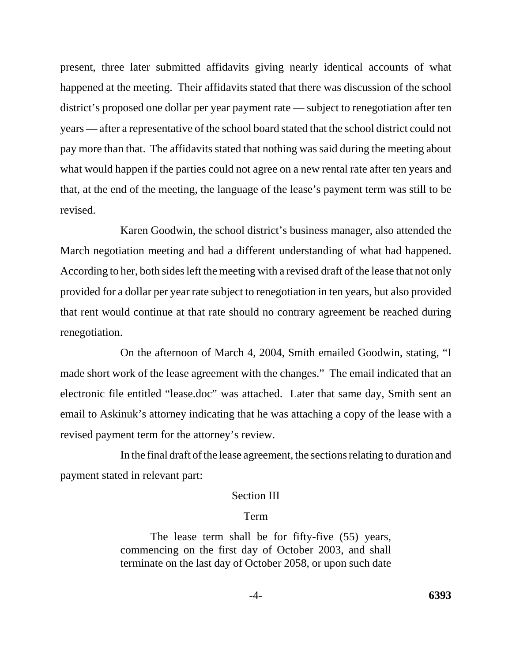present, three later submitted affidavits giving nearly identical accounts of what happened at the meeting. Their affidavits stated that there was discussion of the school district's proposed one dollar per year payment rate — subject to renegotiation after ten years — after a representative of the school board stated that the school district could not pay more than that. The affidavits stated that nothing was said during the meeting about what would happen if the parties could not agree on a new rental rate after ten years and that, at the end of the meeting, the language of the lease's payment term was still to be revised.

Karen Goodwin, the school district's business manager, also attended the March negotiation meeting and had a different understanding of what had happened. According to her, both sides left the meeting with a revised draft of the lease that not only provided for a dollar per year rate subject to renegotiation in ten years, but also provided that rent would continue at that rate should no contrary agreement be reached during renegotiation.

On the afternoon of March 4, 2004, Smith emailed Goodwin, stating, "I made short work of the lease agreement with the changes." The email indicated that an electronic file entitled "lease.doc" was attached. Later that same day, Smith sent an email to Askinuk's attorney indicating that he was attaching a copy of the lease with a revised payment term for the attorney's review.

In the final draft of the lease agreement, the sections relating to duration and payment stated in relevant part:

### Section III

#### Term

The lease term shall be for fifty-five (55) years, commencing on the first day of October 2003, and shall terminate on the last day of October 2058, or upon such date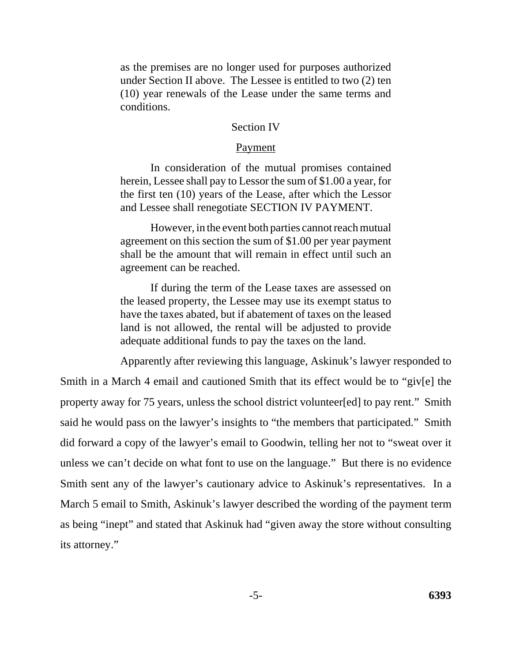as the premises are no longer used for purposes authorized under Section II above. The Lessee is entitled to two (2) ten (10) year renewals of the Lease under the same terms and conditions.

### Section IV

### Payment

In consideration of the mutual promises contained herein, Lessee shall pay to Lessor the sum of \$1.00 a year, for the first ten (10) years of the Lease, after which the Lessor and Lessee shall renegotiate SECTION IV PAYMENT.

However, in the event both parties cannot reach mutual agreement on this section the sum of \$1.00 per year payment shall be the amount that will remain in effect until such an agreement can be reached.

If during the term of the Lease taxes are assessed on the leased property, the Lessee may use its exempt status to have the taxes abated, but if abatement of taxes on the leased land is not allowed, the rental will be adjusted to provide adequate additional funds to pay the taxes on the land.

Apparently after reviewing this language, Askinuk's lawyer responded to Smith in a March 4 email and cautioned Smith that its effect would be to "giv[e] the property away for 75 years, unless the school district volunteer[ed] to pay rent." Smith said he would pass on the lawyer's insights to "the members that participated." Smith did forward a copy of the lawyer's email to Goodwin, telling her not to "sweat over it unless we can't decide on what font to use on the language." But there is no evidence Smith sent any of the lawyer's cautionary advice to Askinuk's representatives. In a March 5 email to Smith, Askinuk's lawyer described the wording of the payment term as being "inept" and stated that Askinuk had "given away the store without consulting its attorney."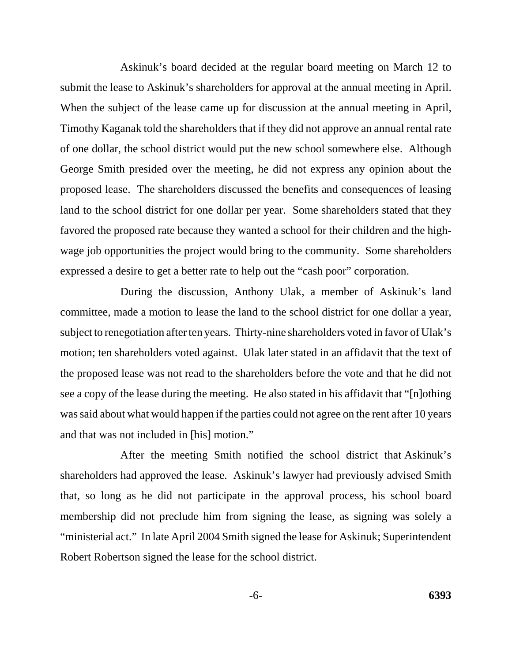Askinuk's board decided at the regular board meeting on March 12 to submit the lease to Askinuk's shareholders for approval at the annual meeting in April. When the subject of the lease came up for discussion at the annual meeting in April, Timothy Kaganak told the shareholders that if they did not approve an annual rental rate of one dollar, the school district would put the new school somewhere else. Although George Smith presided over the meeting, he did not express any opinion about the proposed lease. The shareholders discussed the benefits and consequences of leasing land to the school district for one dollar per year. Some shareholders stated that they favored the proposed rate because they wanted a school for their children and the highwage job opportunities the project would bring to the community. Some shareholders expressed a desire to get a better rate to help out the "cash poor" corporation.

During the discussion, Anthony Ulak, a member of Askinuk's land committee, made a motion to lease the land to the school district for one dollar a year, subject to renegotiation after ten years. Thirty-nine shareholders voted in favor of Ulak's motion; ten shareholders voted against. Ulak later stated in an affidavit that the text of the proposed lease was not read to the shareholders before the vote and that he did not see a copy of the lease during the meeting. He also stated in his affidavit that "[n]othing was said about what would happen if the parties could not agree on the rent after 10 years and that was not included in [his] motion."

After the meeting Smith notified the school district that Askinuk's shareholders had approved the lease. Askinuk's lawyer had previously advised Smith that, so long as he did not participate in the approval process, his school board membership did not preclude him from signing the lease, as signing was solely a "ministerial act." In late April 2004 Smith signed the lease for Askinuk; Superintendent Robert Robertson signed the lease for the school district.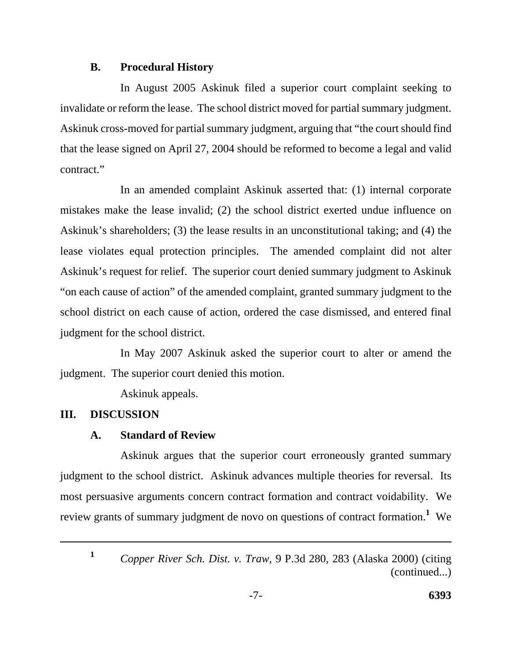## **B. Procedural History**

In August 2005 Askinuk filed a superior court complaint seeking to invalidate or reform the lease. The school district moved for partial summary judgment. Askinuk cross-moved for partial summary judgment, arguing that "the court should find that the lease signed on April 27, 2004 should be reformed to become a legal and valid contract."

In an amended complaint Askinuk asserted that: (1) internal corporate mistakes make the lease invalid; (2) the school district exerted undue influence on Askinuk's shareholders; (3) the lease results in an unconstitutional taking; and (4) the lease violates equal protection principles. The amended complaint did not alter Askinuk's request for relief. The superior court denied summary judgment to Askinuk "on each cause of action" of the amended complaint, granted summary judgment to the school district on each cause of action, ordered the case dismissed, and entered final judgment for the school district.

In May 2007 Askinuk asked the superior court to alter or amend the judgment. The superior court denied this motion.

Askinuk appeals.

# **III. DISCUSSION**

# **A. Standard of Review**

Askinuk argues that the superior court erroneously granted summary judgment to the school district. Askinuk advances multiple theories for reversal. Its most persuasive arguments concern contract formation and contract voidability. We review grants of summary judgment de novo on questions of contract formation.**<sup>1</sup>** We

**<sup>1</sup>** 

*Copper River Sch. Dist. v. Traw*, 9 P.3d 280, 283 (Alaska 2000) (citing (continued...)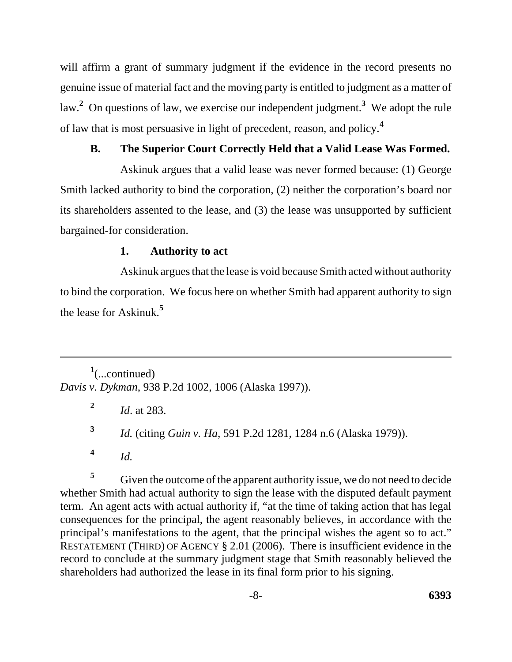will affirm a grant of summary judgment if the evidence in the record presents no genuine issue of material fact and the moving party is entitled to judgment as a matter of law.**<sup>2</sup>** On questions of law, we exercise our independent judgment.**3** We adopt the rule of law that is most persuasive in light of precedent, reason, and policy.**<sup>4</sup>**

## **B. The Superior Court Correctly Held that a Valid Lease Was Formed.**

Askinuk argues that a valid lease was never formed because: (1) George Smith lacked authority to bind the corporation, (2) neither the corporation's board nor its shareholders assented to the lease, and (3) the lease was unsupported by sufficient bargained-for consideration.

# **1. Authority to act**

Askinuk argues that the lease is void because Smith acted without authority to bind the corporation. We focus here on whether Smith had apparent authority to sign the lease for Askinuk.**<sup>5</sup>**

**1** (...continued) *Davis v. Dykman*, 938 P.2d 1002, 1006 (Alaska 1997)).

**<sup>2</sup>***Id*. at 283.

**<sup>3</sup>***Id.* (citing *Guin v. Ha*, 591 P.2d 1281, 1284 n.6 (Alaska 1979)).

**<sup>4</sup>***Id.* 

**<sup>5</sup>**Given the outcome of the apparent authority issue, we do not need to decide whether Smith had actual authority to sign the lease with the disputed default payment term. An agent acts with actual authority if, "at the time of taking action that has legal consequences for the principal, the agent reasonably believes, in accordance with the principal's manifestations to the agent, that the principal wishes the agent so to act." RESTATEMENT (THIRD) OF AGENCY § 2.01 (2006). There is insufficient evidence in the record to conclude at the summary judgment stage that Smith reasonably believed the shareholders had authorized the lease in its final form prior to his signing.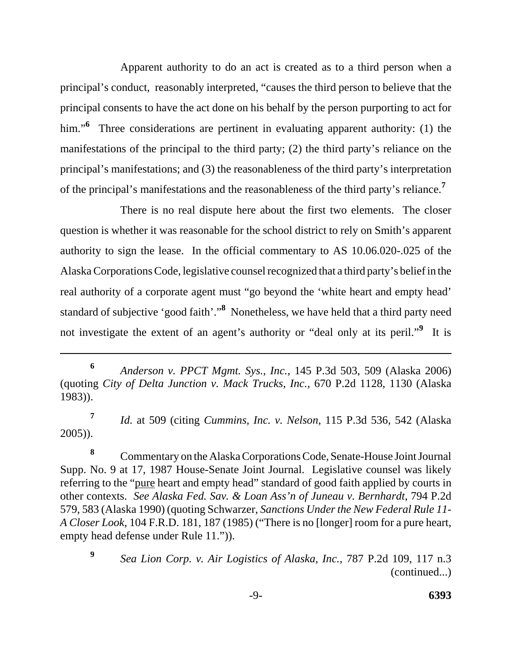Apparent authority to do an act is created as to a third person when a principal's conduct, reasonably interpreted, "causes the third person to believe that the principal consents to have the act done on his behalf by the person purporting to act for him."<sup>6</sup> Three considerations are pertinent in evaluating apparent authority: (1) the manifestations of the principal to the third party; (2) the third party's reliance on the principal's manifestations; and (3) the reasonableness of the third party's interpretation of the principal's manifestations and the reasonableness of the third party's reliance.**<sup>7</sup>**

There is no real dispute here about the first two elements. The closer question is whether it was reasonable for the school district to rely on Smith's apparent authority to sign the lease. In the official commentary to AS 10.06.020-.025 of the Alaska Corporations Code, legislative counsel recognized that a third party's belief in the real authority of a corporate agent must "go beyond the 'white heart and empty head' standard of subjective 'good faith'."**8** Nonetheless, we have held that a third party need not investigate the extent of an agent's authority or "deal only at its peril."**9** It is

**<sup>7</sup>***Id.* at 509 (citing *Cummins, Inc. v. Nelson*, 115 P.3d 536, 542 (Alaska 2005)).

8 **8** Commentary on the Alaska Corporations Code, Senate-House Joint Journal Supp. No. 9 at 17, 1987 House-Senate Joint Journal. Legislative counsel was likely referring to the "pure heart and empty head" standard of good faith applied by courts in other contexts. *See Alaska Fed. Sav. & Loan Ass'n of Juneau v. Bernhardt*, 794 P.2d 579, 583 (Alaska 1990) (quoting Schwarzer, *Sanctions Under the New Federal Rule 11- A Closer Look*, 104 F.R.D. 181, 187 (1985) ("There is no [longer] room for a pure heart, empty head defense under Rule 11.")).

**<sup>6</sup>***Anderson v. PPCT Mgmt. Sys., Inc.*, 145 P.3d 503, 509 (Alaska 2006) (quoting *City of Delta Junction v. Mack Trucks, Inc.*, 670 P.2d 1128, 1130 (Alaska 1983)).

*Sea Lion Corp. v. Air Logistics of Alaska, Inc.*, 787 P.2d 109, 117 n.3 (continued...) **9**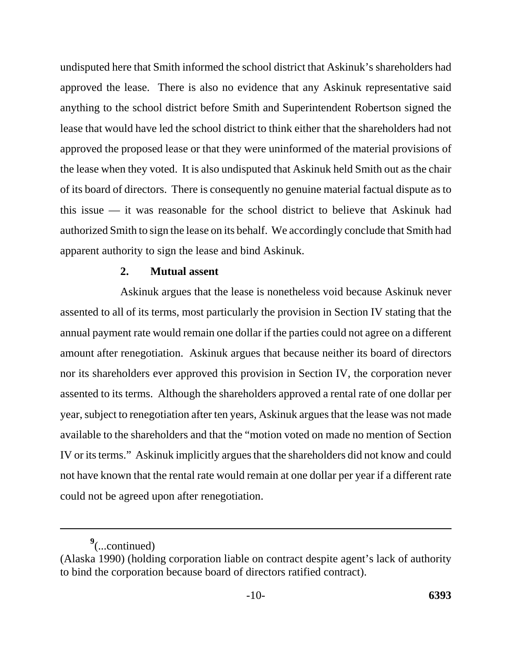undisputed here that Smith informed the school district that Askinuk's shareholders had approved the lease. There is also no evidence that any Askinuk representative said anything to the school district before Smith and Superintendent Robertson signed the lease that would have led the school district to think either that the shareholders had not approved the proposed lease or that they were uninformed of the material provisions of the lease when they voted. It is also undisputed that Askinuk held Smith out as the chair of its board of directors. There is consequently no genuine material factual dispute as to this issue — it was reasonable for the school district to believe that Askinuk had authorized Smith to sign the lease on its behalf. We accordingly conclude that Smith had apparent authority to sign the lease and bind Askinuk.

### **2. Mutual assent**

Askinuk argues that the lease is nonetheless void because Askinuk never assented to all of its terms, most particularly the provision in Section IV stating that the annual payment rate would remain one dollar if the parties could not agree on a different amount after renegotiation. Askinuk argues that because neither its board of directors nor its shareholders ever approved this provision in Section IV, the corporation never assented to its terms. Although the shareholders approved a rental rate of one dollar per year, subject to renegotiation after ten years, Askinuk argues that the lease was not made available to the shareholders and that the "motion voted on made no mention of Section IV or its terms." Askinuk implicitly argues that the shareholders did not know and could not have known that the rental rate would remain at one dollar per year if a different rate could not be agreed upon after renegotiation.

**<sup>9</sup>** (...continued)

<sup>(</sup>Alaska 1990) (holding corporation liable on contract despite agent's lack of authority to bind the corporation because board of directors ratified contract).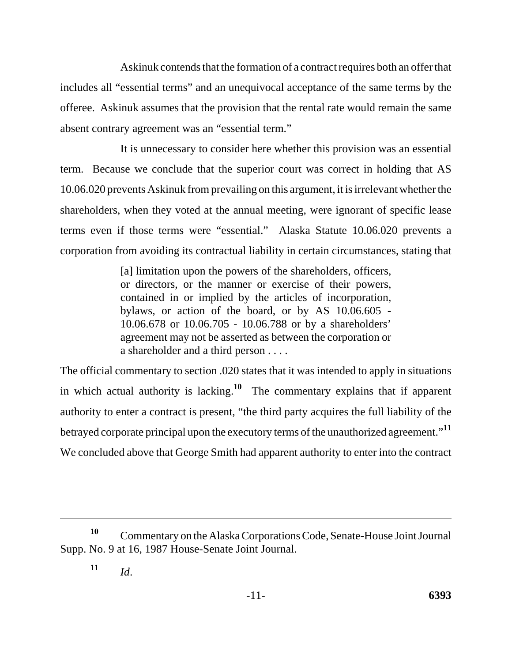Askinuk contends that the formation of a contract requires both an offer that includes all "essential terms" and an unequivocal acceptance of the same terms by the offeree. Askinuk assumes that the provision that the rental rate would remain the same absent contrary agreement was an "essential term."

It is unnecessary to consider here whether this provision was an essential term. Because we conclude that the superior court was correct in holding that AS 10.06.020 prevents Askinuk from prevailing on this argument, it is irrelevant whether the shareholders, when they voted at the annual meeting, were ignorant of specific lease terms even if those terms were "essential." Alaska Statute 10.06.020 prevents a corporation from avoiding its contractual liability in certain circumstances, stating that

> [a] limitation upon the powers of the shareholders, officers, or directors, or the manner or exercise of their powers, contained in or implied by the articles of incorporation, bylaws, or action of the board, or by AS 10.06.605 - 10.06.678 or 10.06.705 - 10.06.788 or by a shareholders' agreement may not be asserted as between the corporation or a shareholder and a third person . . . .

The official commentary to section .020 states that it was intended to apply in situations in which actual authority is lacking.**10** The commentary explains that if apparent authority to enter a contract is present, "the third party acquires the full liability of the betrayed corporate principal upon the executory terms of the unauthorized agreement."**<sup>11</sup>** We concluded above that George Smith had apparent authority to enter into the contract

<sup>&</sup>lt;sup>10</sup> Commentary on the Alaska Corporations Code, Senate-House Joint Journal Supp. No. 9 at 16, 1987 House-Senate Joint Journal.

 $11$ *Id.*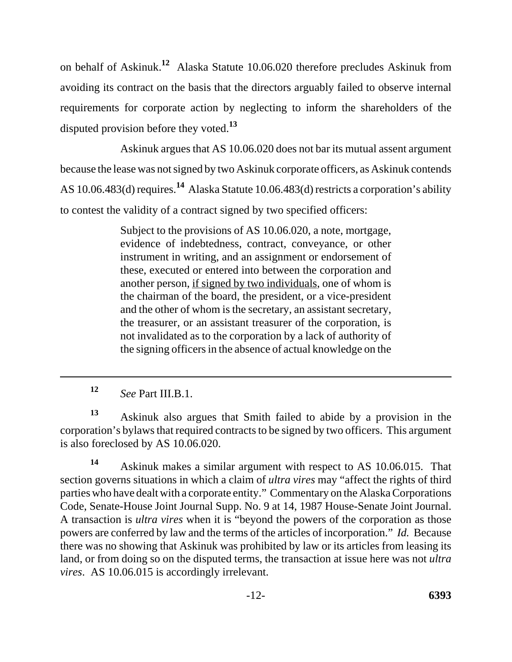on behalf of Askinuk.**12** Alaska Statute 10.06.020 therefore precludes Askinuk from avoiding its contract on the basis that the directors arguably failed to observe internal requirements for corporate action by neglecting to inform the shareholders of the disputed provision before they voted.**<sup>13</sup>**

Askinuk argues that AS 10.06.020 does not bar its mutual assent argument because the lease was not signed by two Askinuk corporate officers, as Askinuk contends AS 10.06.483(d) requires.**14** Alaska Statute 10.06.483(d) restricts a corporation's ability to contest the validity of a contract signed by two specified officers:

> Subject to the provisions of AS 10.06.020, a note, mortgage, evidence of indebtedness, contract, conveyance, or other instrument in writing, and an assignment or endorsement of these, executed or entered into between the corporation and another person, if signed by two individuals, one of whom is the chairman of the board, the president, or a vice-president and the other of whom is the secretary, an assistant secretary, the treasurer, or an assistant treasurer of the corporation, is not invalidated as to the corporation by a lack of authority of the signing officers in the absence of actual knowledge on the

**<sup>12</sup>***See* Part III.B.1.

**<sup>13</sup>**Askinuk also argues that Smith failed to abide by a provision in the corporation's bylaws that required contracts to be signed by two officers. This argument is also foreclosed by AS 10.06.020.

**<sup>14</sup>**Askinuk makes a similar argument with respect to AS 10.06.015. That section governs situations in which a claim of *ultra vires* may "affect the rights of third parties who have dealt with a corporate entity." Commentary on the Alaska Corporations Code, Senate-House Joint Journal Supp. No. 9 at 14, 1987 House-Senate Joint Journal. A transaction is *ultra vires* when it is "beyond the powers of the corporation as those powers are conferred by law and the terms of the articles of incorporation." *Id.* Because there was no showing that Askinuk was prohibited by law or its articles from leasing its land, or from doing so on the disputed terms, the transaction at issue here was not *ultra vires*. AS 10.06.015 is accordingly irrelevant.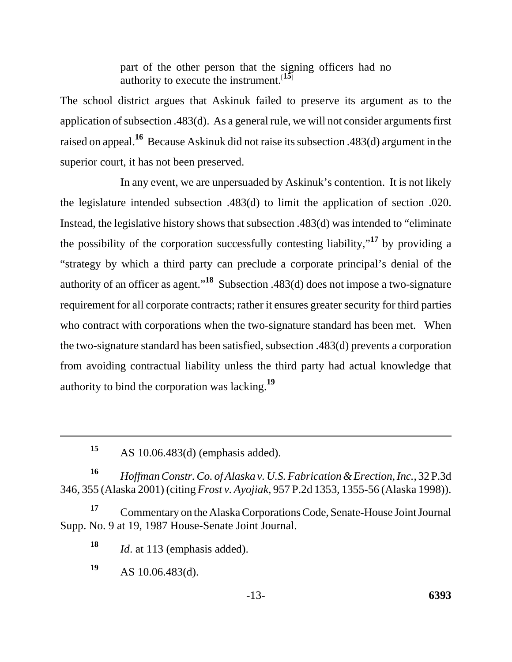part of the other person that the signing officers had no authority to execute the instrument.<sup>[15]</sup>

The school district argues that Askinuk failed to preserve its argument as to the application of subsection .483(d). As a general rule, we will not consider arguments first raised on appeal.**16** Because Askinuk did not raise its subsection .483(d) argument in the superior court, it has not been preserved.

In any event, we are unpersuaded by Askinuk's contention. It is not likely the legislature intended subsection .483(d) to limit the application of section .020. Instead, the legislative history shows that subsection .483(d) was intended to "eliminate the possibility of the corporation successfully contesting liability,"**17** by providing a "strategy by which a third party can preclude a corporate principal's denial of the authority of an officer as agent."**18** Subsection .483(d) does not impose a two-signature requirement for all corporate contracts; rather it ensures greater security for third parties who contract with corporations when the two-signature standard has been met. When the two-signature standard has been satisfied, subsection .483(d) prevents a corporation from avoiding contractual liability unless the third party had actual knowledge that authority to bind the corporation was lacking.**<sup>19</sup>**

**<sup>16</sup>***Hoffman Constr. Co. of Alaska v. U.S. Fabrication & Erection, Inc.*, 32 P.3d 346, 355 (Alaska 2001) (citing *Frost v. Ayojiak*, 957 P.2d 1353, 1355-56 (Alaska 1998)).

<sup>17</sup> Commentary on the Alaska Corporations Code, Senate-House Joint Journal Supp. No. 9 at 19, 1987 House-Senate Joint Journal.

**<sup>18</sup>***Id*. at 113 (emphasis added).

**<sup>19</sup>**AS 10.06.483(d).

**<sup>15</sup>**AS 10.06.483(d) (emphasis added).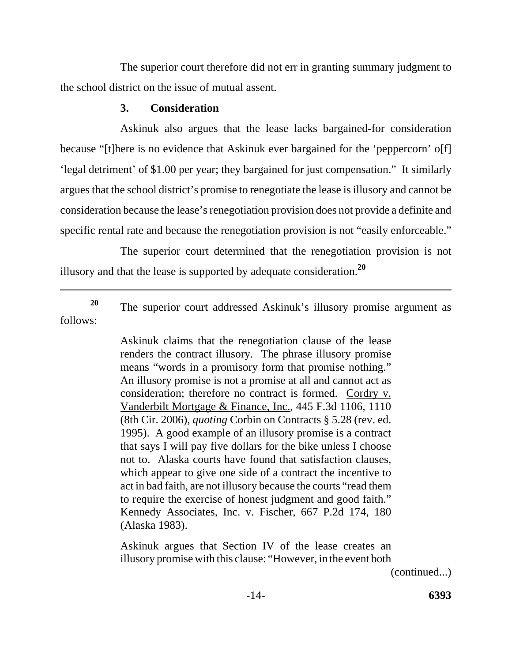The superior court therefore did not err in granting summary judgment to the school district on the issue of mutual assent.

# **3. Consideration**

Askinuk also argues that the lease lacks bargained-for consideration because "[t]here is no evidence that Askinuk ever bargained for the 'peppercorn' o[f] 'legal detriment' of \$1.00 per year; they bargained for just compensation." It similarly argues that the school district's promise to renegotiate the lease is illusory and cannot be consideration because the lease's renegotiation provision does not provide a definite and specific rental rate and because the renegotiation provision is not "easily enforceable."

The superior court determined that the renegotiation provision is not illusory and that the lease is supported by adequate consideration.**<sup>20</sup>**

<sup>20</sup> The superior court addressed Askinuk's illusory promise argument as follows:

> Askinuk claims that the renegotiation clause of the lease renders the contract illusory. The phrase illusory promise means "words in a promisory form that promise nothing." An illusory promise is not a promise at all and cannot act as consideration; therefore no contract is formed. Cordry v. Vanderbilt Mortgage & Finance, Inc., 445 F.3d 1106, 1110 (8th Cir. 2006), *quoting* Corbin on Contracts § 5.28 (rev. ed. 1995). A good example of an illusory promise is a contract that says I will pay five dollars for the bike unless I choose not to. Alaska courts have found that satisfaction clauses, which appear to give one side of a contract the incentive to act in bad faith, are not illusory because the courts "read them to require the exercise of honest judgment and good faith." Kennedy Associates, Inc. v. Fischer, 667 P.2d 174, 180 (Alaska 1983).

> Askinuk argues that Section IV of the lease creates an illusory promise with this clause: "However, in the event both

> > (continued...)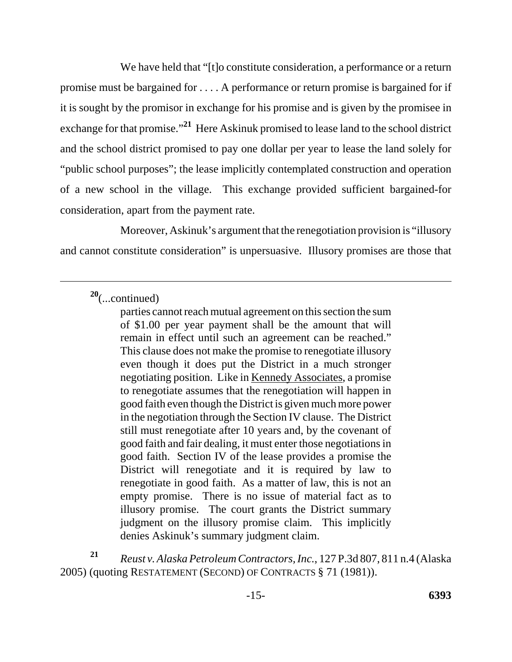We have held that "[t]o constitute consideration, a performance or a return promise must be bargained for . . . . A performance or return promise is bargained for if it is sought by the promisor in exchange for his promise and is given by the promisee in exchange for that promise."**21** Here Askinuk promised to lease land to the school district and the school district promised to pay one dollar per year to lease the land solely for "public school purposes"; the lease implicitly contemplated construction and operation of a new school in the village. This exchange provided sufficient bargained-for consideration, apart from the payment rate.

Moreover, Askinuk's argument that the renegotiation provision is "illusory and cannot constitute consideration" is unpersuasive. Illusory promises are those that

**<sup>20</sup>**(...continued)

parties cannot reach mutual agreement on this section the sum of \$1.00 per year payment shall be the amount that will remain in effect until such an agreement can be reached." This clause does not make the promise to renegotiate illusory even though it does put the District in a much stronger negotiating position. Like in Kennedy Associates, a promise to renegotiate assumes that the renegotiation will happen in good faith even though the District is given much more power in the negotiation through the Section IV clause. The District still must renegotiate after 10 years and, by the covenant of good faith and fair dealing, it must enter those negotiations in good faith. Section IV of the lease provides a promise the District will renegotiate and it is required by law to renegotiate in good faith. As a matter of law, this is not an empty promise. There is no issue of material fact as to illusory promise. The court grants the District summary judgment on the illusory promise claim. This implicitly denies Askinuk's summary judgment claim.

**<sup>21</sup>***Reust v. Alaska Petroleum Contractors, Inc.*, 127 P.3d 807, 811 n.4 (Alaska 2005) (quoting RESTATEMENT (SECOND) OF CONTRACTS § 71 (1981)).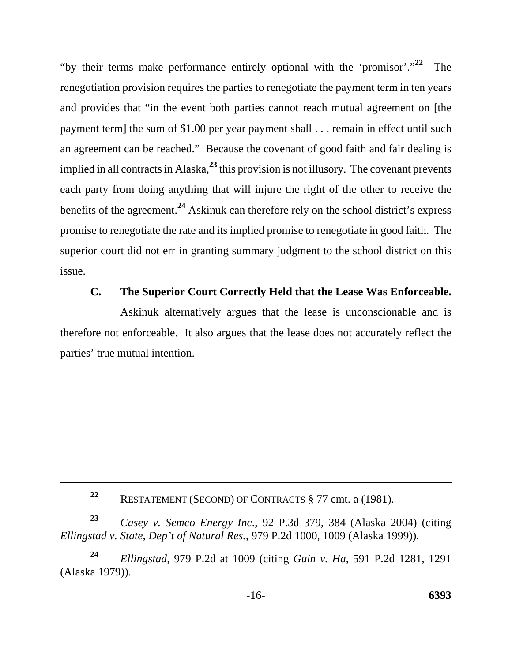"by their terms make performance entirely optional with the 'promisor'."**22** The renegotiation provision requires the parties to renegotiate the payment term in ten years and provides that "in the event both parties cannot reach mutual agreement on [the payment term] the sum of \$1.00 per year payment shall . . . remain in effect until such an agreement can be reached." Because the covenant of good faith and fair dealing is implied in all contracts in Alaska,**23** this provision is not illusory. The covenant prevents each party from doing anything that will injure the right of the other to receive the benefits of the agreement.**24** Askinuk can therefore rely on the school district's express promise to renegotiate the rate and its implied promise to renegotiate in good faith. The superior court did not err in granting summary judgment to the school district on this issue.

## **C. The Superior Court Correctly Held that the Lease Was Enforceable.**

Askinuk alternatively argues that the lease is unconscionable and is therefore not enforceable. It also argues that the lease does not accurately reflect the parties' true mutual intention.

**<sup>23</sup>***Casey v. Semco Energy Inc*., 92 P.3d 379, 384 (Alaska 2004) (citing *Ellingstad v. State, Dep't of Natural Res.*, 979 P.2d 1000, 1009 (Alaska 1999)).

**<sup>24</sup>***Ellingstad*, 979 P.2d at 1009 (citing *Guin v. Ha*, 591 P.2d 1281, 1291 (Alaska 1979)).

**<sup>22</sup>**RESTATEMENT (SECOND) OF CONTRACTS § 77 cmt. a (1981).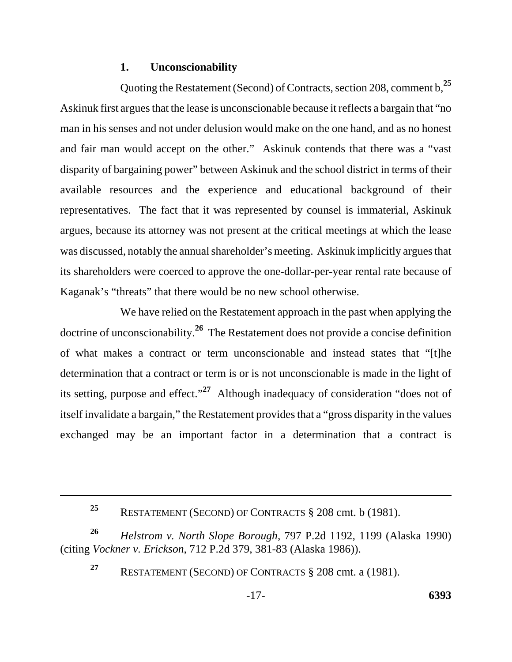### **1. Unconscionability**

Quoting the Restatement (Second) of Contracts, section 208, comment b,**<sup>25</sup>** Askinuk first argues that the lease is unconscionable because it reflects a bargain that "no man in his senses and not under delusion would make on the one hand, and as no honest and fair man would accept on the other." Askinuk contends that there was a "vast disparity of bargaining power" between Askinuk and the school district in terms of their available resources and the experience and educational background of their representatives. The fact that it was represented by counsel is immaterial, Askinuk argues, because its attorney was not present at the critical meetings at which the lease was discussed, notably the annual shareholder's meeting. Askinuk implicitly argues that its shareholders were coerced to approve the one-dollar-per-year rental rate because of Kaganak's "threats" that there would be no new school otherwise.

We have relied on the Restatement approach in the past when applying the doctrine of unconscionability.**26** The Restatement does not provide a concise definition of what makes a contract or term unconscionable and instead states that "[t]he determination that a contract or term is or is not unconscionable is made in the light of its setting, purpose and effect."**27** Although inadequacy of consideration "does not of itself invalidate a bargain," the Restatement provides that a "gross disparity in the values exchanged may be an important factor in a determination that a contract is

**<sup>26</sup>***Helstrom v. North Slope Borough*, 797 P.2d 1192, 1199 (Alaska 1990) (citing *Vockner v. Erickson*, 712 P.2d 379, 381-83 (Alaska 1986)).

**<sup>25</sup>**RESTATEMENT (SECOND) OF CONTRACTS § 208 cmt. b (1981).

**<sup>27</sup>**RESTATEMENT (SECOND) OF CONTRACTS § 208 cmt. a (1981).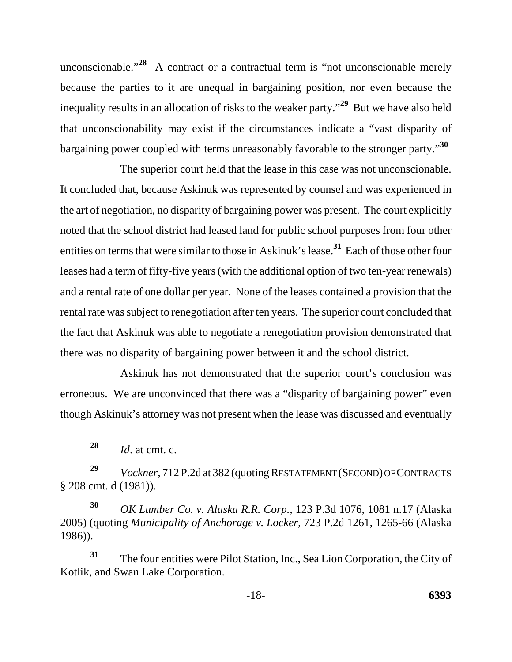unconscionable."<sup>28</sup> A contract or a contractual term is "not unconscionable merely because the parties to it are unequal in bargaining position, nor even because the inequality results in an allocation of risks to the weaker party."**29** But we have also held that unconscionability may exist if the circumstances indicate a "vast disparity of bargaining power coupled with terms unreasonably favorable to the stronger party."**<sup>30</sup>**

The superior court held that the lease in this case was not unconscionable. It concluded that, because Askinuk was represented by counsel and was experienced in the art of negotiation, no disparity of bargaining power was present. The court explicitly noted that the school district had leased land for public school purposes from four other entities on terms that were similar to those in Askinuk's lease.**31** Each of those other four leases had a term of fifty-five years (with the additional option of two ten-year renewals) and a rental rate of one dollar per year. None of the leases contained a provision that the rental rate was subject to renegotiation after ten years. The superior court concluded that the fact that Askinuk was able to negotiate a renegotiation provision demonstrated that there was no disparity of bargaining power between it and the school district.

Askinuk has not demonstrated that the superior court's conclusion was erroneous. We are unconvinced that there was a "disparity of bargaining power" even though Askinuk's attorney was not present when the lease was discussed and eventually

<sup>29</sup> Vockner, 712 P.2d at 382 (quoting RESTATEMENT (SECOND) OF CONTRACTS § 208 cmt. d (1981)).

**<sup>30</sup>***OK Lumber Co. v. Alaska R.R. Corp.*, 123 P.3d 1076, 1081 n.17 (Alaska 2005) (quoting *Municipality of Anchorage v. Locker*, 723 P.2d 1261, 1265-66 (Alaska 1986)).

**<sup>31</sup>**The four entities were Pilot Station, Inc., Sea Lion Corporation, the City of Kotlik, and Swan Lake Corporation.

**<sup>28</sup>***Id*. at cmt. c.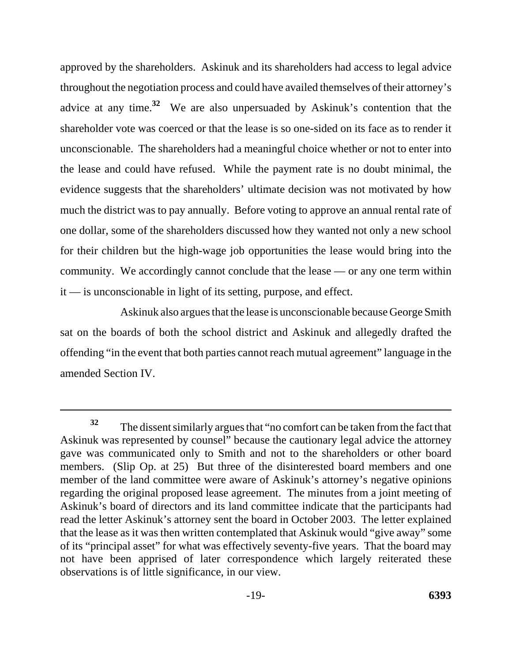approved by the shareholders. Askinuk and its shareholders had access to legal advice throughout the negotiation process and could have availed themselves of their attorney's advice at any time.**32** We are also unpersuaded by Askinuk's contention that the shareholder vote was coerced or that the lease is so one-sided on its face as to render it unconscionable. The shareholders had a meaningful choice whether or not to enter into the lease and could have refused. While the payment rate is no doubt minimal, the evidence suggests that the shareholders' ultimate decision was not motivated by how much the district was to pay annually. Before voting to approve an annual rental rate of one dollar, some of the shareholders discussed how they wanted not only a new school for their children but the high-wage job opportunities the lease would bring into the community. We accordingly cannot conclude that the lease — or any one term within it — is unconscionable in light of its setting, purpose, and effect.

Askinuk also argues that the lease is unconscionable because George Smith sat on the boards of both the school district and Askinuk and allegedly drafted the offending "in the event that both parties cannot reach mutual agreement" language in the amended Section IV.

**<sup>32</sup>**The dissent similarly argues that "no comfort can be taken from the fact that Askinuk was represented by counsel" because the cautionary legal advice the attorney gave was communicated only to Smith and not to the shareholders or other board members. (Slip Op. at 25) But three of the disinterested board members and one member of the land committee were aware of Askinuk's attorney's negative opinions regarding the original proposed lease agreement. The minutes from a joint meeting of Askinuk's board of directors and its land committee indicate that the participants had read the letter Askinuk's attorney sent the board in October 2003. The letter explained that the lease as it was then written contemplated that Askinuk would "give away" some of its "principal asset" for what was effectively seventy-five years. That the board may not have been apprised of later correspondence which largely reiterated these observations is of little significance, in our view.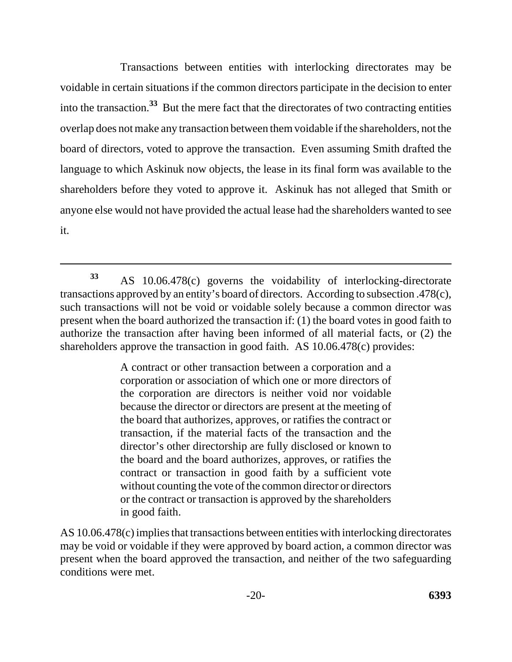Transactions between entities with interlocking directorates may be voidable in certain situations if the common directors participate in the decision to enter into the transaction.**33** But the mere fact that the directorates of two contracting entities overlap does not make any transaction between them voidable if the shareholders, not the board of directors, voted to approve the transaction. Even assuming Smith drafted the language to which Askinuk now objects, the lease in its final form was available to the shareholders before they voted to approve it. Askinuk has not alleged that Smith or anyone else would not have provided the actual lease had the shareholders wanted to see it.

A contract or other transaction between a corporation and a corporation or association of which one or more directors of the corporation are directors is neither void nor voidable because the director or directors are present at the meeting of the board that authorizes, approves, or ratifies the contract or transaction, if the material facts of the transaction and the director's other directorship are fully disclosed or known to the board and the board authorizes, approves, or ratifies the contract or transaction in good faith by a sufficient vote without counting the vote of the common director or directors or the contract or transaction is approved by the shareholders in good faith.

AS 10.06.478(c) implies that transactions between entities with interlocking directorates may be void or voidable if they were approved by board action, a common director was present when the board approved the transaction, and neither of the two safeguarding conditions were met.

**<sup>33</sup>**AS 10.06.478(c) governs the voidability of interlocking-directorate transactions approved by an entity's board of directors. According to subsection .478(c), such transactions will not be void or voidable solely because a common director was present when the board authorized the transaction if: (1) the board votes in good faith to authorize the transaction after having been informed of all material facts, or (2) the shareholders approve the transaction in good faith. AS 10.06.478(c) provides: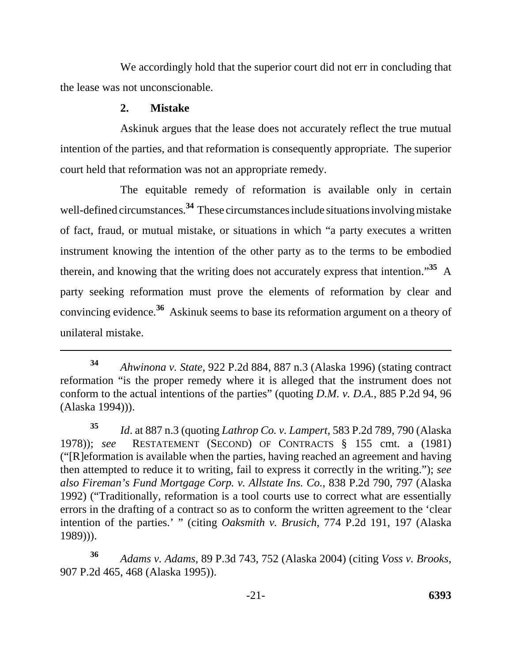We accordingly hold that the superior court did not err in concluding that the lease was not unconscionable.

## **2. Mistake**

Askinuk argues that the lease does not accurately reflect the true mutual intention of the parties, and that reformation is consequently appropriate. The superior court held that reformation was not an appropriate remedy.

The equitable remedy of reformation is available only in certain well-defined circumstances.**34** These circumstances include situations involving mistake of fact, fraud, or mutual mistake, or situations in which "a party executes a written instrument knowing the intention of the other party as to the terms to be embodied therein, and knowing that the writing does not accurately express that intention."**35** A party seeking reformation must prove the elements of reformation by clear and convincing evidence.**36** Askinuk seems to base its reformation argument on a theory of unilateral mistake.

**<sup>34</sup>***Ahwinona v. State*, 922 P.2d 884, 887 n.3 (Alaska 1996) (stating contract reformation "is the proper remedy where it is alleged that the instrument does not conform to the actual intentions of the parties" (quoting *D.M. v. D.A.*, 885 P.2d 94, 96 (Alaska 1994))).

**<sup>35</sup>***Id*. at 887 n.3 (quoting *Lathrop Co. v. Lampert*, 583 P.2d 789, 790 (Alaska 1978)); *see* RESTATEMENT (SECOND) OF CONTRACTS § 155 cmt. a (1981) ("[R]eformation is available when the parties, having reached an agreement and having then attempted to reduce it to writing, fail to express it correctly in the writing."); *see also Fireman's Fund Mortgage Corp. v. Allstate Ins. Co.*, 838 P.2d 790, 797 (Alaska 1992) ("Traditionally, reformation is a tool courts use to correct what are essentially errors in the drafting of a contract so as to conform the written agreement to the 'clear intention of the parties.' " (citing *Oaksmith v. Brusich*, 774 P.2d 191, 197 (Alaska 1989))).

**<sup>36</sup>***Adams v. Adams*, 89 P.3d 743, 752 (Alaska 2004) (citing *Voss v. Brooks*, 907 P.2d 465, 468 (Alaska 1995)).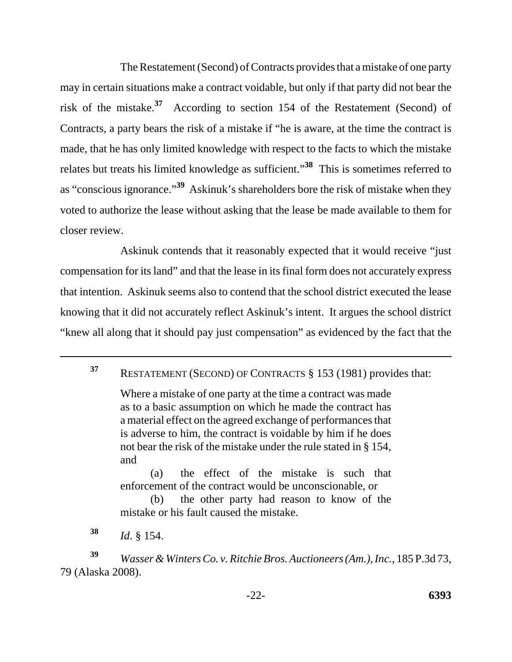The Restatement (Second) of Contracts provides that a mistake of one party may in certain situations make a contract voidable, but only if that party did not bear the risk of the mistake.**37** According to section 154 of the Restatement (Second) of Contracts, a party bears the risk of a mistake if "he is aware, at the time the contract is made, that he has only limited knowledge with respect to the facts to which the mistake relates but treats his limited knowledge as sufficient."**38** This is sometimes referred to as "conscious ignorance."**39** Askinuk's shareholders bore the risk of mistake when they voted to authorize the lease without asking that the lease be made available to them for closer review.

Askinuk contends that it reasonably expected that it would receive "just compensation for its land" and that the lease in its final form does not accurately express that intention. Askinuk seems also to contend that the school district executed the lease knowing that it did not accurately reflect Askinuk's intent. It argues the school district "knew all along that it should pay just compensation" as evidenced by the fact that the

Where a mistake of one party at the time a contract was made as to a basic assumption on which he made the contract has a material effect on the agreed exchange of performances that is adverse to him, the contract is voidable by him if he does not bear the risk of the mistake under the rule stated in § 154, and

(a) the effect of the mistake is such that enforcement of the contract would be unconscionable, or

(b) the other party had reason to know of the mistake or his fault caused the mistake.

**<sup>38</sup>***Id*. § 154.

**<sup>39</sup>***Wasser & Winters Co. v. Ritchie Bros. Auctioneers (Am.), Inc.*, 185 P.3d 73, 79 (Alaska 2008).

**<sup>37</sup>**RESTATEMENT (SECOND) OF CONTRACTS § 153 (1981) provides that: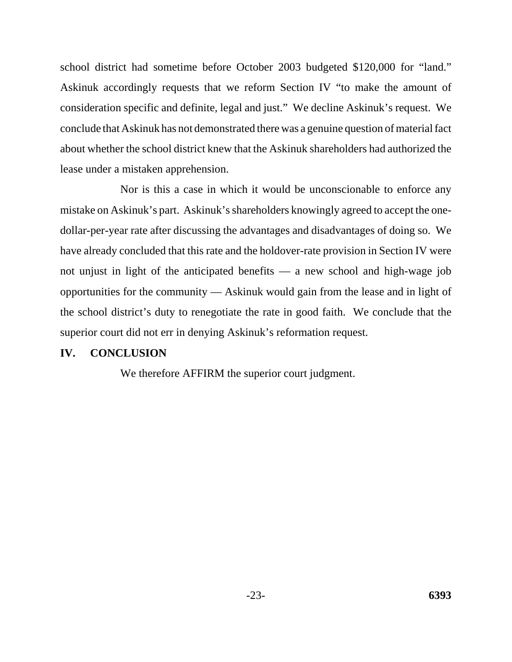school district had sometime before October 2003 budgeted \$120,000 for "land." Askinuk accordingly requests that we reform Section IV "to make the amount of consideration specific and definite, legal and just." We decline Askinuk's request. We conclude that Askinuk has not demonstrated there was a genuine question of material fact about whether the school district knew that the Askinuk shareholders had authorized the lease under a mistaken apprehension.

Nor is this a case in which it would be unconscionable to enforce any mistake on Askinuk's part. Askinuk's shareholders knowingly agreed to accept the onedollar-per-year rate after discussing the advantages and disadvantages of doing so. We have already concluded that this rate and the holdover-rate provision in Section IV were not unjust in light of the anticipated benefits — a new school and high-wage job opportunities for the community — Askinuk would gain from the lease and in light of the school district's duty to renegotiate the rate in good faith. We conclude that the superior court did not err in denying Askinuk's reformation request.

# **IV. CONCLUSION**

We therefore AFFIRM the superior court judgment.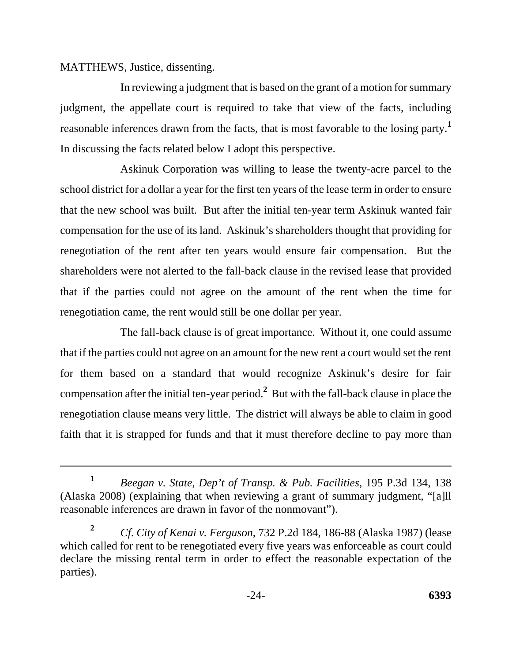MATTHEWS, Justice, dissenting.

In reviewing a judgment that is based on the grant of a motion for summary judgment, the appellate court is required to take that view of the facts, including reasonable inferences drawn from the facts, that is most favorable to the losing party.**<sup>1</sup>** In discussing the facts related below I adopt this perspective.

Askinuk Corporation was willing to lease the twenty-acre parcel to the school district for a dollar a year for the first ten years of the lease term in order to ensure that the new school was built. But after the initial ten-year term Askinuk wanted fair compensation for the use of its land. Askinuk's shareholders thought that providing for renegotiation of the rent after ten years would ensure fair compensation. But the shareholders were not alerted to the fall-back clause in the revised lease that provided that if the parties could not agree on the amount of the rent when the time for renegotiation came, the rent would still be one dollar per year.

The fall-back clause is of great importance. Without it, one could assume that if the parties could not agree on an amount for the new rent a court would set the rent for them based on a standard that would recognize Askinuk's desire for fair compensation after the initial ten-year period.**<sup>2</sup>** But with the fall-back clause in place the renegotiation clause means very little. The district will always be able to claim in good faith that it is strapped for funds and that it must therefore decline to pay more than

**<sup>1</sup>***Beegan v. State, Dep't of Transp. & Pub. Facilities*, 195 P.3d 134, 138 (Alaska 2008) (explaining that when reviewing a grant of summary judgment, "[a]ll reasonable inferences are drawn in favor of the nonmovant").

**<sup>2</sup>***Cf*. *City of Kenai v. Ferguson*, 732 P.2d 184, 186-88 (Alaska 1987) (lease which called for rent to be renegotiated every five years was enforceable as court could declare the missing rental term in order to effect the reasonable expectation of the parties).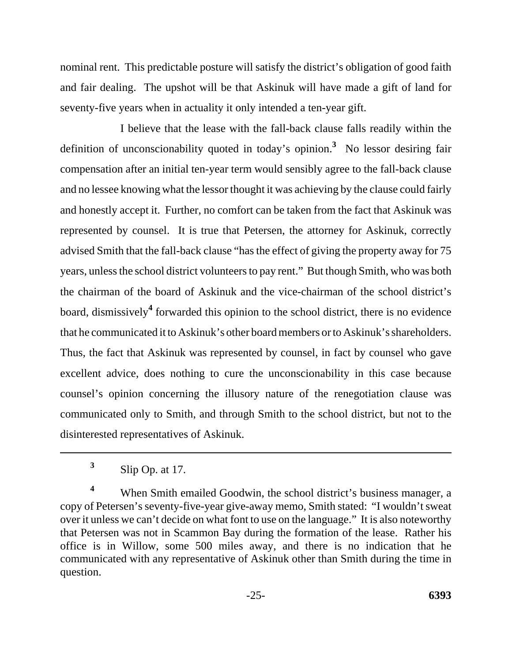nominal rent. This predictable posture will satisfy the district's obligation of good faith and fair dealing. The upshot will be that Askinuk will have made a gift of land for seventy-five years when in actuality it only intended a ten-year gift.

I believe that the lease with the fall-back clause falls readily within the definition of unconscionability quoted in today's opinion.**<sup>3</sup>** No lessor desiring fair compensation after an initial ten-year term would sensibly agree to the fall-back clause and no lessee knowing what the lessor thought it was achieving by the clause could fairly and honestly accept it. Further, no comfort can be taken from the fact that Askinuk was represented by counsel. It is true that Petersen, the attorney for Askinuk, correctly advised Smith that the fall-back clause "has the effect of giving the property away for 75 years, unless the school district volunteers to pay rent." But though Smith, who was both the chairman of the board of Askinuk and the vice-chairman of the school district's board, dismissively**<sup>4</sup>** forwarded this opinion to the school district, there is no evidence that he communicated it to Askinuk's other board members or to Askinuk's shareholders. Thus, the fact that Askinuk was represented by counsel, in fact by counsel who gave excellent advice, does nothing to cure the unconscionability in this case because counsel's opinion concerning the illusory nature of the renegotiation clause was communicated only to Smith, and through Smith to the school district, but not to the disinterested representatives of Askinuk.

<sup>4</sup> When Smith emailed Goodwin, the school district's business manager, a copy of Petersen's seventy-five-year give-away memo, Smith stated: "I wouldn't sweat over it unless we can't decide on what font to use on the language." It is also noteworthy that Petersen was not in Scammon Bay during the formation of the lease. Rather his office is in Willow, some 500 miles away, and there is no indication that he communicated with any representative of Askinuk other than Smith during the time in question.

**<sup>3</sup>**Slip Op. at 17.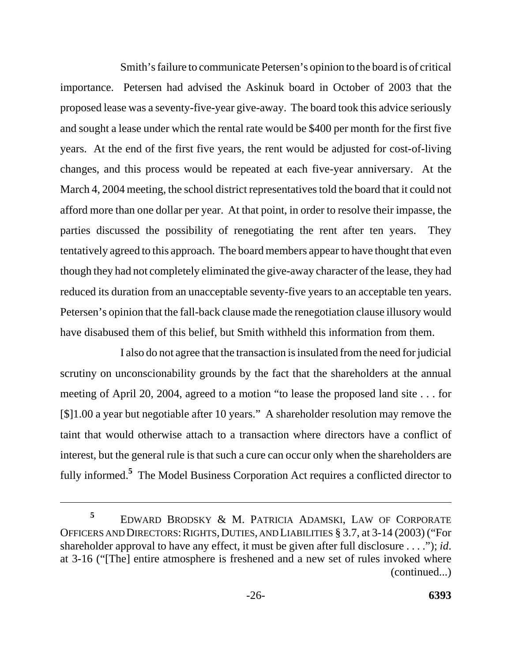Smith's failure to communicate Petersen's opinion to the board is of critical importance. Petersen had advised the Askinuk board in October of 2003 that the proposed lease was a seventy-five-year give-away. The board took this advice seriously and sought a lease under which the rental rate would be \$400 per month for the first five years. At the end of the first five years, the rent would be adjusted for cost-of-living changes, and this process would be repeated at each five-year anniversary. At the March 4, 2004 meeting, the school district representatives told the board that it could not afford more than one dollar per year. At that point, in order to resolve their impasse, the parties discussed the possibility of renegotiating the rent after ten years. They tentatively agreed to this approach. The board members appear to have thought that even though they had not completely eliminated the give-away character of the lease, they had reduced its duration from an unacceptable seventy-five years to an acceptable ten years. Petersen's opinion that the fall-back clause made the renegotiation clause illusory would

have disabused them of this belief, but Smith withheld this information from them.<br>I also do not agree that the transaction is insulated from the need for judicial scrutiny on unconscionability grounds by the fact that the shareholders at the annual meeting of April 20, 2004, agreed to a motion "to lease the proposed land site . . . for [\$]1.00 a year but negotiable after 10 years." A shareholder resolution may remove the taint that would otherwise attach to a transaction where directors have a conflict of interest, but the general rule is that such a cure can occur only when the shareholders are fully informed.**<sup>5</sup>** The Model Business Corporation Act requires a conflicted director to

 EDWARD BRODSKY & M. PATRICIA ADAMSKI, LAW OF CORPORATE OFFICERS AND DIRECTORS: RIGHTS, DUTIES, AND LIABILITIES § 3.7, at 3-14 (2003) ("For shareholder approval to have any effect, it must be given after full disclosure . . . ."); *id*. at 3-16 ("[The] entire atmosphere is freshened and a new set of rules invoked where (continued...) **5**